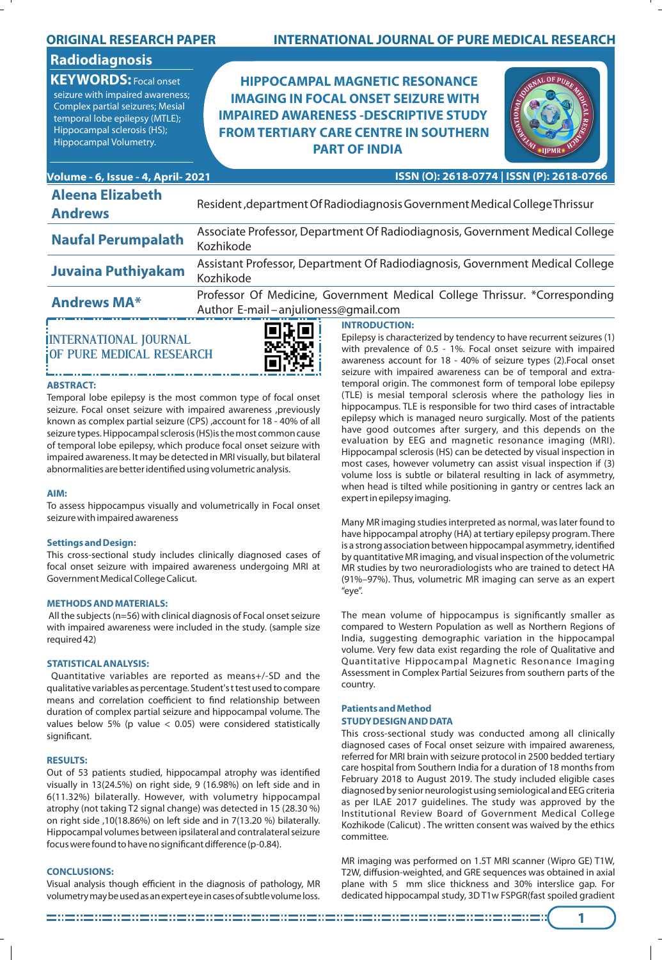| <b>ORIGINAL RESEARCH PAPER</b>                                                                                                                                                                                           | <b>INTERNATIONAL JOURNAL OF PURE MEDICAL RESEARCH</b>                                                                                                                                                       |  |  |  |  |
|--------------------------------------------------------------------------------------------------------------------------------------------------------------------------------------------------------------------------|-------------------------------------------------------------------------------------------------------------------------------------------------------------------------------------------------------------|--|--|--|--|
| Radiodiagnosis<br><b>KEYWORDS: Focal onset</b><br>seizure with impaired awareness;<br><b>Complex partial seizures; Mesial</b><br>temporal lobe epilepsy (MTLE);<br>Hippocampal sclerosis (HS);<br>Hippocampal Volumetry. | <b>HIPPOCAMPAL MAGNETIC RESONANCE</b><br><b>IMAGING IN FOCAL ONSET SEIZURE WITH</b><br><b>IMPAIRED AWARENESS -DESCRIPTIVE STUDY</b><br><b>FROM TERTIARY CARE CENTRE IN SOUTHERN</b><br><b>PART OF INDIA</b> |  |  |  |  |
| ISSN (O): 2618-0774   ISSN (P): 2618-0766<br>Volume - 6, Issue - 4, April- 2021                                                                                                                                          |                                                                                                                                                                                                             |  |  |  |  |
| <b>Aleena Elizabeth</b><br><b>Andrews</b>                                                                                                                                                                                | Resident, department Of Radiodiagnosis Government Medical College Thrissur                                                                                                                                  |  |  |  |  |
| <b>Naufal Perumpalath</b>                                                                                                                                                                                                | Associate Professor, Department Of Radiodiagnosis, Government Medical College<br>Kozhikode                                                                                                                  |  |  |  |  |
| <b>Juvaina Puthiyakam</b>                                                                                                                                                                                                | Assistant Professor, Department Of Radiodiagnosis, Government Medical College<br>Kozhikode                                                                                                                  |  |  |  |  |
| <b>Andrews MA*</b>                                                                                                                                                                                                       | Professor Of Medicine, Government Medical College Thrissur. *Corresponding<br>Author E-mail-anjulioness@gmail.com                                                                                           |  |  |  |  |
|                                                                                                                                                                                                                          | <b>INTRODUCTION:</b>                                                                                                                                                                                        |  |  |  |  |

# **INTERNATIONAL JOURNAL OF PURE MEDICAL RESEARCH**



# **ABSTRACT:**

Temporal lobe epilepsy is the most common type of focal onset seizure. Focal onset seizure with impaired awareness ,previously known as complex partial seizure (CPS) ,account for 18 - 40% of all seizure types. Hippocampal sclerosis (HS)is the most common cause of temporal lobe epilepsy, which produce focal onset seizure with impaired awareness. It may be detected in MRI visually, but bilateral abnormalities are better identified using volumetric analysis.

# **AIM:**

To assess hippocampus visually and volumetrically in Focal onset seizure with impaired awareness

#### **Settings and Design:**

This cross-sectional study includes clinically diagnosed cases of focal onset seizure with impaired awareness undergoing MRI at Government Medical College Calicut.

# **METHODS AND MATERIALS:**

All the subjects (n=56) with clinical diagnosis of Focal onset seizure with impaired awareness were included in the study. (sample size required 42)

# **STATISTICAL ANALYSIS:**

Quantitative variables are reported as means+/‐SD and the qualitative variables as percentage. Student's t test used to compare means and correlation coefficient to find relationship between duration of complex partial seizure and hippocampal volume. The values below 5% (p value  $<$  0.05) were considered statistically significant.

#### **RESULTS:**

Out of 53 patients studied, hippocampal atrophy was identified visually in 13(24.5%) on right side, 9 (16.98%) on left side and in 6(11.32%) bilaterally. However, with volumetry hippocampal atrophy (not taking T2 signal change) was detected in 15 (28.30 %) on right side ,10(18.86%) on left side and in 7(13.20 %) bilaterally. Hippocampal volumes between ipsilateral and contralateral seizure focus were found to have no significant difference (p-0.84).

# **CONCLUSIONS:**

Visual analysis though efficient in the diagnosis of pathology, MR volumetry may be used as an expert eye in cases of subtle volume loss.

Epilepsy is characterized by tendency to have recurrent seizures (1) with prevalence of 0.5 - 1%. Focal onset seizure with impaired awareness account for 18 - 40% of seizure types (2).Focal onset seizure with impaired awareness can be of temporal and extratemporal origin. The commonest form of temporal lobe epilepsy (TLE) is mesial temporal sclerosis where the pathology lies in hippocampus. TLE is responsible for two third cases of intractable epilepsy which is managed neuro surgically. Most of the patients have good outcomes after surgery, and this depends on the evaluation by EEG and magnetic resonance imaging (MRI). Hippocampal sclerosis (HS) can be detected by visual inspection in most cases, however volumetry can assist visual inspection if (3) volume loss is subtle or bilateral resulting in lack of asymmetry, when head is tilted while positioning in gantry or centres lack an expert in epilepsy imaging.

Many MR imaging studies interpreted as normal, was later found to have hippocampal atrophy (HA) at tertiary epilepsy program. There is a strong association between hippocampal asymmetry, identified by quantitative MR imaging, and visual inspection of the volumetric MR studies by two neuroradiologists who are trained to detect HA (91%–97%). Thus, volumetric MR imaging can serve as an expert "eye".

The mean volume of hippocampus is significantly smaller as compared to Western Population as well as Northern Regions of India, suggesting demographic variation in the hippocampal volume. Very few data exist regarding the role of Qualitative and Quantitative Hippocampal Magnetic Resonance Imaging Assessment in Complex Partial Seizures from southern parts of the country.

#### **Patients and Method STUDY DESIGN AND DATA**

This cross-sectional study was conducted among all clinically diagnosed cases of Focal onset seizure with impaired awareness, referred for MRI brain with seizure protocol in 2500 bedded tertiary care hospital from Southern India for a duration of 18 months from February 2018 to August 2019. The study included eligible cases diagnosed by senior neurologist using semiological and EEG criteria as per ILAE 2017 guidelines. The study was approved by the Institutional Review Board of Government Medical College Kozhikode (Calicut) . The written consent was waived by the ethics committee.

MR imaging was performed on 1.5T MRI scanner (Wipro GE) T1W, T2W, diffusion-weighted, and GRE sequences was obtained in axial plane with 5 mm slice thickness and 30% interslice gap. For dedicated hippocampal study, 3D T1w FSPGR(fast spoiled gradient

**1**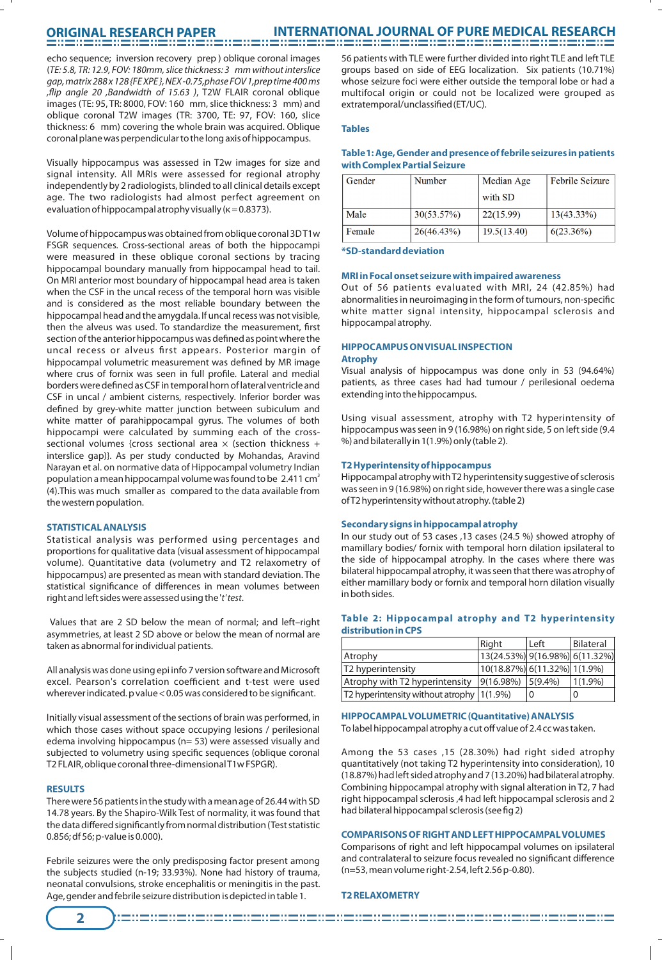# **ORIGINAL RESEARCH PAPER**

echo sequence; inversion recovery prep ) oblique coronal images (TE: 5.8, TR: 12.9, FOV: 180mm, slice thickness: 3 mm without interslice gap, matrix 288 x 128 {FE XPE }, NEX -0.75,phase FOV 1,prep time 400 ms ,flip angle 20 ,Bandwidth of 15.63 ), T2W FLAIR coronal oblique images (TE: 95, TR: 8000, FOV: 160 mm, slice thickness: 3 mm) and oblique coronal T2W images (TR: 3700, TE: 97, FOV: 160, slice thickness: 6 mm) covering the whole brain was acquired. Oblique coronal plane was perpendicular to the long axis of hippocampus.

Visually hippocampus was assessed in T2w images for size and signal intensity. All MRIs were assessed for regional atrophy independently by 2 radiologists, blinded to all clinical details except age. The two radiologists had almost perfect agreement on evaluation of hippocampal atrophy visually ( $\kappa$  = 0.8373).

Volume of hippocampus was obtained from oblique coronal 3D T1w FSGR sequences. Cross-sectional areas of both the hippocampi were measured in these oblique coronal sections by tracing hippocampal boundary manually from hippocampal head to tail. On MRI anterior most boundary of hippocampal head area is taken when the CSF in the uncal recess of the temporal horn was visible and is considered as the most reliable boundary between the hippocampal head and the amygdala. If uncal recess was not visible, then the alveus was used. To standardize the measurement, first section of the anterior hippocampus was defined as point where the uncal recess or alveus first appears. Posterior margin of hippocampal volumetric measurement was defined by MR image where crus of fornix was seen in full profile. Lateral and medial borders were defined as CSF in temporal horn of lateral ventricle and CSF in uncal / ambient cisterns, respectively. Inferior border was defined by grey-white matter junction between subiculum and white matter of parahippocampal gyrus. The volumes of both hippocampi were calculated by summing each of the crosssectional volumes {cross sectional area  $\times$  (section thickness + interslice gap)}. As per study conducted by Mohandas, Aravind Narayan et al. on normative data of Hippocampal volumetry Indian population a mean hippocampal volume was found to be 2.411 cm<sup>3</sup> (4).This was much smaller as compared to the data available from the western population.

# **STATISTICAL ANALYSIS**

Statistical analysis was performed using percentages and proportions for qualitative data (visual assessment of hippocampal volume). Quantitative data (volumetry and T2 relaxometry of hippocampus) are presented as mean with standard deviation. The statistical significance of differences in mean volumes between right and left sides were assessed using the 't' test.

Values that are 2 SD below the mean of normal; and left–right asymmetries, at least 2 SD above or below the mean of normal are taken as abnormal for individual patients.

All analysis was done using epi info 7 version software and Microsoft excel. Pearson's correlation coefficient and t-test were used wherever indicated. p value <  $0.05$  was considered to be significant.

Initially visual assessment of the sections of brain was performed, in which those cases without space occupying lesions / perilesional edema involving hippocampus (n= 53) were assessed visually and subjected to volumetry using specific sequences (oblique coronal T2 FLAIR, oblique coronal three-dimensional T1w FSPGR).

#### **RESULTS**

There were 56 patients in the study with a mean age of 26.44 with SD 14.78 years. By the Shapiro-Wilk Test of normality, it was found that the data differed significantly from normal distribution (Test statistic 0.856; df 56; p-value is 0.000).

Febrile seizures were the only predisposing factor present among the subjects studied (n-19; 33.93%). None had history of trauma, neonatal convulsions, stroke encephalitis or meningitis in the past. Age, gender and febrile seizure distribution is depicted in table 1.

56 patients with TLE were further divided into right TLE and left TLE groups based on side of EEG localization. Six patients (10.71%) whose seizure foci were either outside the temporal lobe or had a multifocal origin or could not be localized were grouped as extratemporal/unclassified (ET/UC).

# **Tables**

# **Table 1: Age, Gender and presence of febrile seizures in patients with Complex Partial Seizure**

| Gender | Number     | Median Age  | Febrile Seizure |
|--------|------------|-------------|-----------------|
|        |            | with SD     |                 |
| Male   | 30(53.57%) | 22(15.99)   | $13(43.33\%)$   |
| Female | 26(46.43%) | 19.5(13.40) | $6(23.36\%)$    |

**\*SD-standard deviation**

#### **MRI in Focal onset seizure with impaired awareness**

Out of 56 patients evaluated with MRI, 24 (42.85%) had abnormalities in neuroimaging in the form of tumours, non-specific white matter signal intensity, hippocampal sclerosis and hippocampal atrophy.

# **HIPPOCAMPUS ON VISUAL INSPECTION**

#### **Atrophy**

Visual analysis of hippocampus was done only in 53 (94.64%) patients, as three cases had had tumour / perilesional oedema extending into the hippocampus.

Using visual assessment, atrophy with T2 hyperintensity of hippocampus was seen in 9 (16.98%) on right side, 5 on left side (9.4 %) and bilaterally in 1(1.9%) only (table 2).

# **T2 Hyperintensity of hippocampus**

Hippocampal atrophy with T2 hyperintensity suggestive of sclerosis was seen in 9 (16.98%) on right side, however there was a single case of T2 hyperintensity without atrophy. (table 2)

#### **Secondary signs in hippocampal atrophy**

In our study out of 53 cases ,13 cases (24.5 %) showed atrophy of mamillary bodies/ fornix with temporal horn dilation ipsilateral to the side of hippocampal atrophy. In the cases where there was bilateral hippocampal atrophy, it was seen that there was atrophy of either mamillary body or fornix and temporal horn dilation visually in both sides.

|                                               | Right                                 | l Left     | Bilateral  |  |
|-----------------------------------------------|---------------------------------------|------------|------------|--|
| Atrophy                                       | $(13(24.53\%) 9(16.98\%) 6(11.32\%) $ |            |            |  |
| T2 hyperintensity                             | 10(18.87%) 6(11.32%) 1(1.9%)          |            |            |  |
| Atrophy with T2 hyperintensity                | 9(16.98%)                             | $5(9.4\%)$ | $1(1.9\%)$ |  |
| $T2$ hyperintensity without atrophy $(1.9\%)$ |                                       |            |            |  |

#### **Table 2: Hippocampal atrophy and T2 hyperintensity distribution in CPS**

**HIPPOCAMPAL VOLUMETRIC (Quantitative) ANALYSIS** To label hippocampal atrophy a cut off value of 2.4 cc was taken.

Among the 53 cases ,15 (28.30%) had right sided atrophy quantitatively (not taking T2 hyperintensity into consideration), 10 (18.87%) had left sided atrophy and 7 (13.20%) had bilateral atrophy. Combining hippocampal atrophy with signal alteration in T2, 7 had right hippocampal sclerosis ,4 had left hippocampal sclerosis and 2 had bilateral hippocampal sclerosis (see fig 2)

# **COMPARISONS OF RIGHT AND LEFT HIPPOCAMPAL VOLUMES**

Comparisons of right and left hippocampal volumes on ipsilateral and contralateral to seizure focus revealed no significant difference (n=53, mean volume right-2.54, left 2.56 p-0.80).

# **T2 RELAXOMETRY**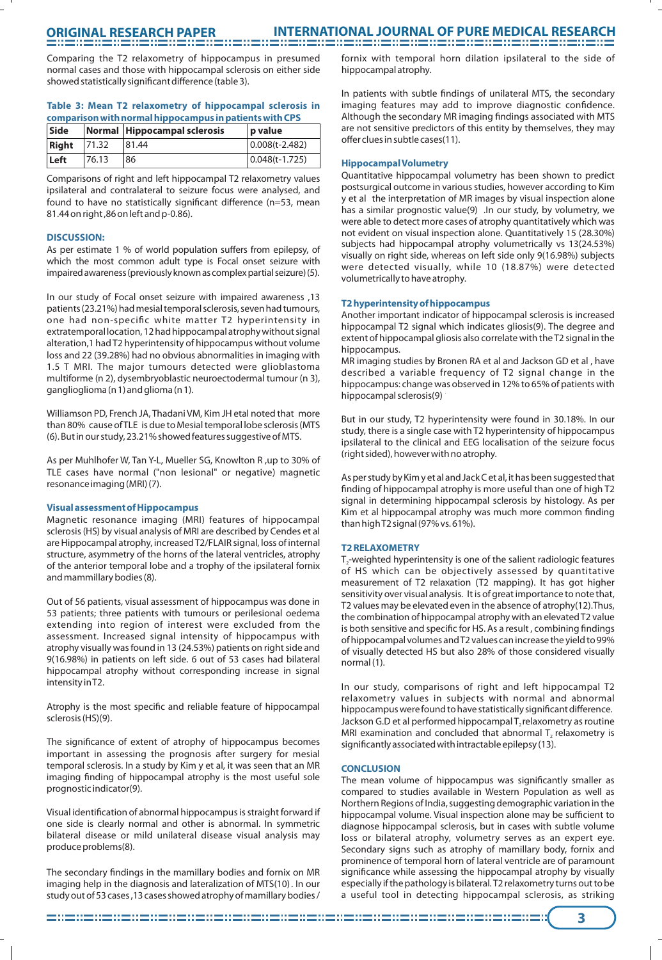Comparing the T2 relaxometry of hippocampus in presumed normal cases and those with hippocampal sclerosis on either side showed statistically significant difference (table 3).

# **Table 3: Mean T2 relaxometry of hippocampal sclerosis in comparison with normal hippocampus in patients with CPS**

| <b>Side</b><br>Normal Hippocampal sclerosis |        | p value |                  |
|---------------------------------------------|--------|---------|------------------|
| Right                                       | 171.32 | 81.44   | $0.008(t-2.482)$ |
| Left                                        | 76.13  | '86     | $0.048(t-1.725)$ |

Comparisons of right and left hippocampal T2 relaxometry values ipsilateral and contralateral to seizure focus were analysed, and found to have no statistically significant difference (n=53, mean 81.44 on right ,86 on left and p-0.86).

# **DISCUSSION:**

As per estimate 1 % of world population suffers from epilepsy, of which the most common adult type is Focal onset seizure with impaired awareness (previously known as complex partial seizure) (5).

In our study of Focal onset seizure with impaired awareness ,13 patients (23.21%) had mesial temporal sclerosis, seven had tumours, one had non-specific white matter T2 hyperintensity in extratemporal location, 12 had hippocampal atrophy without signal alteration,1 had T2 hyperintensity of hippocampus without volume loss and 22 (39.28%) had no obvious abnormalities in imaging with 1.5 T MRI. The major tumours detected were glioblastoma multiforme (n 2), dysembryoblastic neuroectodermal tumour (n 3), ganglioglioma (n 1) and glioma (n 1).

Williamson PD, French JA, Thadani VM, Kim JH etal noted that more than 80% cause of TLE is due to Mesial temporal lobe sclerosis (MTS (6). But in our study, 23.21% showed features suggestive of MTS.

As per Muhlhofer W, Tan Y-L, Mueller SG, Knowlton R ,up to 30% of TLE cases have normal ("non lesional" or negative) magnetic resonance imaging (MRI) (7).

#### **Visual assessment of Hippocampus**

Magnetic resonance imaging (MRI) features of hippocampal sclerosis (HS) by visual analysis of MRI are described by Cendes et al are Hippocampal atrophy, increased T2/FLAIR signal, loss of internal structure, asymmetry of the horns of the lateral ventricles, atrophy of the anterior temporal lobe and a trophy of the ipsilateral fornix and mammillary bodies (8).

Out of 56 patients, visual assessment of hippocampus was done in 53 patients; three patients with tumours or perilesional oedema extending into region of interest were excluded from the assessment. Increased signal intensity of hippocampus with atrophy visually was found in 13 (24.53%) patients on right side and 9(16.98%) in patients on left side. 6 out of 53 cases had bilateral hippocampal atrophy without corresponding increase in signal intensity in T2.

Atrophy is the most specific and reliable feature of hippocampal sclerosis (HS)(9).

The significance of extent of atrophy of hippocampus becomes important in assessing the prognosis after surgery for mesial temporal sclerosis. In a study by Kim y et al, it was seen that an MR imaging finding of hippocampal atrophy is the most useful sole prognostic indicator(9).

Visual identification of abnormal hippocampus is straight forward if one side is clearly normal and other is abnormal. In symmetric bilateral disease or mild unilateral disease visual analysis may produce problems(8).

The secondary findings in the mamillary bodies and fornix on MR imaging help in the diagnosis and lateralization of MTS(10). In our study out of 53 cases ,13 cases showed atrophy of mamillary bodies /

fornix with temporal horn dilation ipsilateral to the side of hippocampal atrophy.

In patients with subtle findings of unilateral MTS, the secondary imaging features may add to improve diagnostic confidence. Although the secondary MR imaging findings associated with MTS are not sensitive predictors of this entity by themselves, they may offer clues in subtle cases(11).

#### **Hippocampal Volumetry**

Quantitative hippocampal volumetry has been shown to predict postsurgical outcome in various studies, however according to Kim y et al the interpretation of MR images by visual inspection alone has a similar prognostic value(9) .In our study, by volumetry, we were able to detect more cases of atrophy quantitatively which was not evident on visual inspection alone. Quantitatively 15 (28.30%) subjects had hippocampal atrophy volumetrically vs 13(24.53%) visually on right side, whereas on left side only 9(16.98%) subjects were detected visually, while 10 (18.87%) were detected volumetrically to have atrophy.

# **T2 hyperintensity of hippocampus**

Another important indicator of hippocampal sclerosis is increased hippocampal T2 signal which indicates gliosis(9). The degree and extent of hippocampal gliosis also correlate with the T2 signal in the hippocampus.

MR imaging studies by Bronen RA et al and Jackson GD et al , have described a variable frequency of T2 signal change in the hippocampus: change was observed in 12% to 65% of patients with hippocampal sclerosis(9)

But in our study, T2 hyperintensity were found in 30.18%. In our study, there is a single case with T2 hyperintensity of hippocampus ipsilateral to the clinical and EEG localisation of the seizure focus (right sided), however with no atrophy.

As per study by Kim y et al and Jack C et al, it has been suggested that finding of hippocampal atrophy is more useful than one of high T2 signal in determining hippocampal sclerosis by histology. As per Kim et al hippocampal atrophy was much more common finding than high T2 signal (97% vs. 61%).

# **T2 RELAXOMETRY**

 $T<sub>z</sub>$ -weighted hyperintensity is one of the salient radiologic features of HS which can be objectively assessed by quantitative measurement of T2 relaxation (T2 mapping). It has got higher sensitivity over visual analysis. It is of great importance to note that, T2 values may be elevated even in the absence of atrophy(12).Thus, the combination of hippocampal atrophy with an elevated T2 value is both sensitive and specific for HS. As a result, combining findings of hippocampal volumes and T2 values can increase the yield to 99% of visually detected HS but also 28% of those considered visually normal (1).

In our study, comparisons of right and left hippocampal T2 relaxometry values in subjects with normal and abnormal hippocampus were found to have statistically significant difference. Jackson G.D et al performed hippocampal  $T$ , relaxometry as routine MRI examination and concluded that abnormal T, relaxometry is significantly associated with intractable epilepsy (13).

#### **CONCLUSION**

The mean volume of hippocampus was significantly smaller as compared to studies available in Western Population as well as Northern Regions of India, suggesting demographic variation in the hippocampal volume. Visual inspection alone may be sufficient to diagnose hippocampal sclerosis, but in cases with subtle volume loss or bilateral atrophy, volumetry serves as an expert eye. Secondary signs such as atrophy of mamillary body, fornix and prominence of temporal horn of lateral ventricle are of paramount significance while assessing the hippocampal atrophy by visually especially if the pathology is bilateral. T2 relaxometry turns out to be a useful tool in detecting hippocampal sclerosis, as striking

no con constante do constante do constante do constante do constante do constante do constante do constante do

**3**